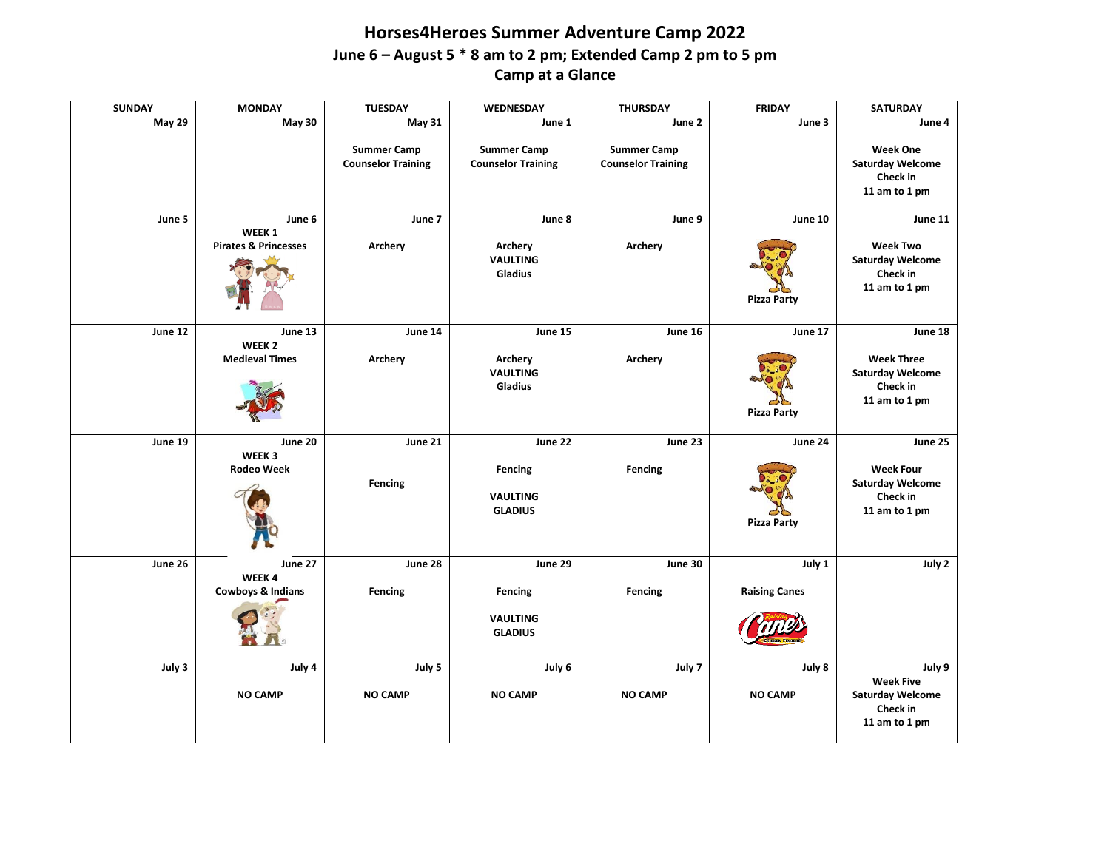## **Horses4Heroes Summer Adventure Camp 2022 June 6 – August 5 \* 8 am to 2 pm; Extended Camp 2 pm to 5 pm Camp at a Glance**

| <b>SUNDAY</b> | <b>MONDAY</b>                                         | <b>TUESDAY</b>                                  | WEDNESDAY                                               | <b>THURSDAY</b>                                 | <b>FRIDAY</b>                  | <b>SATURDAY</b>                                                                      |
|---------------|-------------------------------------------------------|-------------------------------------------------|---------------------------------------------------------|-------------------------------------------------|--------------------------------|--------------------------------------------------------------------------------------|
| May 29        | May 30                                                | $\overline{May\ 31}$                            | June 1                                                  | June 2                                          | June 3                         | June 4                                                                               |
|               |                                                       | <b>Summer Camp</b><br><b>Counselor Training</b> | <b>Summer Camp</b><br><b>Counselor Training</b>         | <b>Summer Camp</b><br><b>Counselor Training</b> |                                | <b>Week One</b><br><b>Saturday Welcome</b><br>Check in<br>11 am to 1 pm              |
| June 5        | June 6<br>WEEK 1<br><b>Pirates &amp; Princesses</b>   | June 7<br>Archery                               | June 8<br>Archery<br><b>VAULTING</b><br><b>Gladius</b>  | June 9<br>Archery                               | June 10<br><b>Pizza Party</b>  | June 11<br><b>Week Two</b><br><b>Saturday Welcome</b><br>Check in<br>11 am to 1 pm   |
| June 12       | June 13<br>WEEK <sub>2</sub><br><b>Medieval Times</b> | June 14<br>Archery                              | June 15<br>Archery<br><b>VAULTING</b><br>Gladius        | June 16<br>Archery                              | June 17<br><b>Pizza Party</b>  | June 18<br><b>Week Three</b><br><b>Saturday Welcome</b><br>Check in<br>11 am to 1 pm |
| June 19       | June 20<br>WEEK 3<br><b>Rodeo Week</b>                | June 21<br>Fencing                              | June 22<br>Fencing<br><b>VAULTING</b><br><b>GLADIUS</b> | June 23<br>Fencing                              | June 24<br><b>Pizza Party</b>  | June 25<br><b>Week Four</b><br><b>Saturday Welcome</b><br>Check in<br>11 am to 1 pm  |
| June 26       | June 27<br>WEEK4<br><b>Cowboys &amp; Indians</b>      | June 28<br>Fencing                              | June 29<br>Fencing<br><b>VAULTING</b><br><b>GLADIUS</b> | June 30<br>Fencing                              | July 1<br><b>Raising Canes</b> | July 2                                                                               |
| July 3        | July 4<br><b>NO CAMP</b>                              | July 5<br><b>NO CAMP</b>                        | July 6<br><b>NO CAMP</b>                                | July 7<br><b>NO CAMP</b>                        | July 8<br><b>NO CAMP</b>       | July 9<br><b>Week Five</b><br><b>Saturday Welcome</b><br>Check in<br>11 am to 1 pm   |